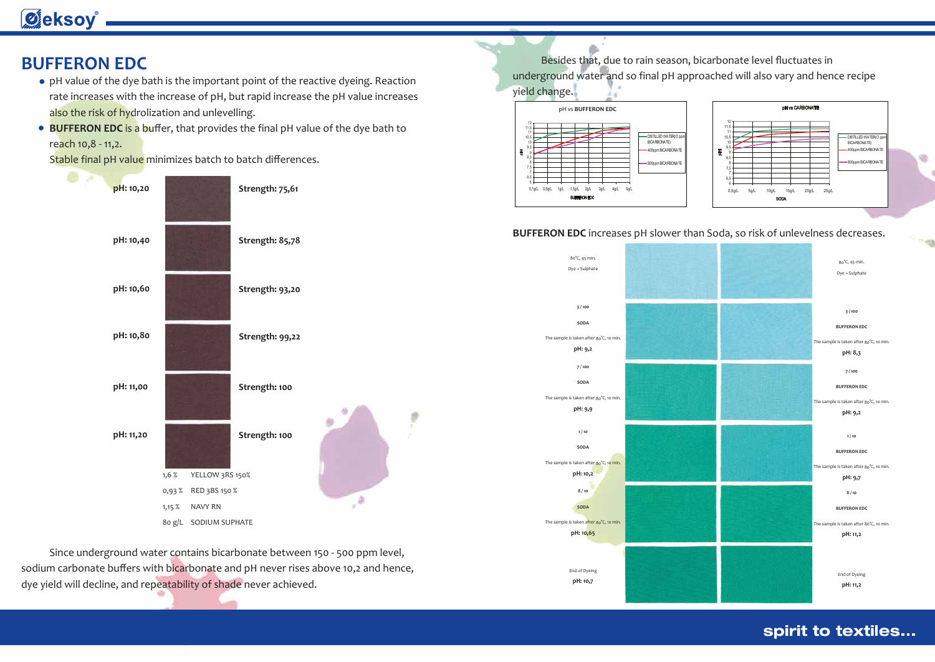10 10,5 11 11,5 12

DISTILLED WATER(O ppm BICARBONATE)

# **Øeksoy**

### **BUFFERON EDC**

- pH value of the dye bath is the important point of the reactive dyeing. Reaction rate increases with the increase of pH, but rapid increase the pH value increases also the risk of hydrolization and unlevelling.
- **BUFFERON EDC** is a buffer, that provides the final pH value of the dye bath to reach 10,8 - 11,2.

Stable final pH value minimizes batch to batch differences.

 Since underground water contains bicarbonate between 150 - 500 ppm level, sodium carbonate buffers with bicarbonate and pH never rises above 10,2 and hence, dye yield will decline, and repeatability of shade never achieved.



### Besides that, due to rain season, bicarbonate level fluctuates in underground water and so final pH approached will also vary and hence recipe

yield change.

pH vs BUFFERON R11 pH vs **BUFFERON EDC**



End of Dyeing **pH: 10,7**



### spirit to textiles...